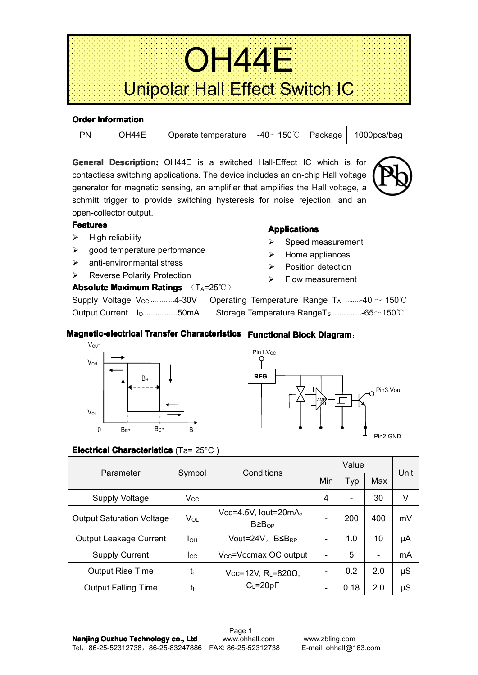| <b>Service</b><br>.<br>.<br>.<br>.<br>the contract of the contract of the contract of the contract of the contract of the contract of the contract of the contract of the contract of the contract of the contract of the contract of the contract of the contract o<br>.<br>.<br>in the company of the company of the company of the company of the company of the company of the company of the company of the company of the company of the company of the company of the company of the company of the compa | the contract of the contract of the contract of the contract of the contract of the contract of the contract of the contract of the contract of the contract of the contract of the contract of the contract of the contract o | . . <del>. .</del> | <b>Contract Contract Contract</b> | .<br>the company of the company<br>the company of the company of the company of the company of the company of the company of the company of the company of the company of the company of the company of the company of the company of the company of the company<br>the company's company's company's<br>a construction of the contract of the construction of the construction of the contract of the construction of the construction of the construction of the construction of the construction of the construction of the construc<br>the contract of the contract of the contract of the contract of the contract of the contract of the contract of the contract of the contract of the contract of the contract of the contract of the contract of the contract o<br>.<br>the contract of the contract of the con-<br>and a series and a series and a series<br>the contract of the contract of the contract of the contract of the contract of the contract of the contract of<br>the contract of the contract of the contract of the contract of the contract of the contract of the contract of<br>the company's company's company's company's company's company's company's company's company's company's company's company's company's company's company's company's company's company's company's company's company's company'<br>.<br>the contract of the contract of the contract of the contract of the contract of the contract of the contract of |
|------------------------------------------------------------------------------------------------------------------------------------------------------------------------------------------------------------------------------------------------------------------------------------------------------------------------------------------------------------------------------------------------------------------------------------------------------------------------------------------------------------------|--------------------------------------------------------------------------------------------------------------------------------------------------------------------------------------------------------------------------------|--------------------|-----------------------------------|----------------------------------------------------------------------------------------------------------------------------------------------------------------------------------------------------------------------------------------------------------------------------------------------------------------------------------------------------------------------------------------------------------------------------------------------------------------------------------------------------------------------------------------------------------------------------------------------------------------------------------------------------------------------------------------------------------------------------------------------------------------------------------------------------------------------------------------------------------------------------------------------------------------------------------------------------------------------------------------------------------------------------------------------------------------------------------------------------------------------------------------------------------------------------------------------------------------------------------------------------------------------------------------------------------------------------------------------------------------------------------------------------------------------------------------------------------------------|
| .<br><b>Service</b><br><b>Contractor</b><br><b>Contract Contract Contract</b><br>.<br>.                                                                                                                                                                                                                                                                                                                                                                                                                          | Unipolar Hall Effect Sv                                                                                                                                                                                                        |                    |                                   | the contract of the con-<br>$S$ witch $IC$<br>and a state<br><b>Service</b>                                                                                                                                                                                                                                                                                                                                                                                                                                                                                                                                                                                                                                                                                                                                                                                                                                                                                                                                                                                                                                                                                                                                                                                                                                                                                                                                                                                          |

| <b>UIUSI IIIIUIIIIAUUII</b> |       |                     |                       |         |             |  |  |  |
|-----------------------------|-------|---------------------|-----------------------|---------|-------------|--|--|--|
| PN                          | DH44E | Operate temperature | -40 $\sim$ 150°C $\,$ | Package | 1000pcs/bag |  |  |  |

**General Description:** OH44E is a switched Hall-Effect IC which is for contactless switching applications. The device includes an on-chip Hall voltage generator for magnetic sensing, an amplifier that amplifies the Hall voltage, <sup>a</sup> schmitt trigger to provide switching hysteresis for noise rejection, and an open-collector output.

#### **Features Features Features**

 $\triangleright$  High reliability

**Order Information Information**

- $\geq$  good temperature performance
- $\triangleright$  anti-environmental stress
- **▶ Reverse Polarity Protection**

# **Absolute Maximum Ratings** (TA=25℃)

 $\triangleright$  Flow measurement

**Applications Applications**

 $\triangleright$  Speed measurement  $\triangleright$  Home appliances  $\triangleright$  Position detection

Supply Voltage V<sub>CC</sub> ···············4-30V Operating Temperature Range T<sub>A</sub> ··········40 ~ 150°C Output Current I<sub>O</sub> ·····················50mA Storage Temperature RangeT<sub>S</sub> ··················65∼150℃

# **Magnetic-electrical Transfer Characteristics** Functional Block Diagram:





### **Electrical Characteristics** (Ta= 25°C)

| Parameter                        |          | Conditions                                | Value          |      |     |         |
|----------------------------------|----------|-------------------------------------------|----------------|------|-----|---------|
|                                  | Symbol   |                                           | Min            | Typ  | Max | Unit    |
| Supply Voltage                   | Vcc.     |                                           | $\overline{4}$ |      | 30  | V       |
| <b>Output Saturation Voltage</b> | $V_{OL}$ | Vcc=4.5V, lout=20mA,<br>B≥B <sub>OP</sub> |                | 200  | 400 | mV      |
| <b>Output Leakage Current</b>    | Iон      | Vout=24V, $BS_{RP}$                       |                | 1.0  | 10  | μA      |
| <b>Supply Current</b>            | lcc.     | $V_{\text{CC}}$ =Vccmax OC output         |                | 5    |     | mA      |
| <b>Output Rise Time</b>          | $t_{r}$  | Vcc=12V, $RL=820\Omega,$                  |                | 0.2  | 2.0 | μS      |
| <b>Output Falling Time</b>       | tf       | $C_L = 20pF$                              |                | 0.18 | 2.0 | $\mu$ S |